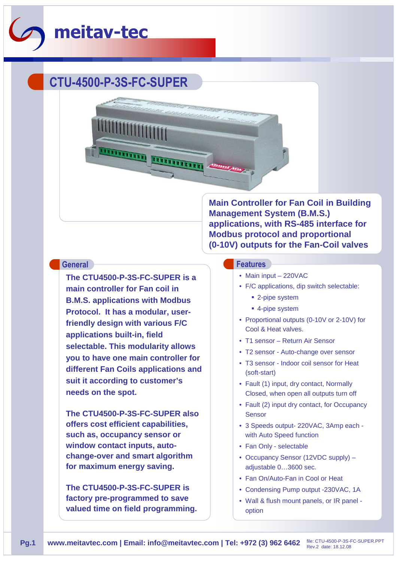

## **CTU-4500-P-3S-FC-SUPER**

**The CTU4500-P-3S-FC-SUPER is a main controller for Fan coil in B.M.S. applications with Modbus Protocol. It has a modular, userfriendly design with various F/C applications built-in, field selectable. This modularity allows you to have one main controller for different Fan Coils applications and suit it according to customer's needs on the spot.** 

**The CTU4500-P-3S-FC-SUPER also offers cost efficient capabilities, such as, occupancy sensor or window contact inputs, autochange-over and smart algorithm for maximum energy saving.**

**The CTU4500-P-3S-FC-SUPER is factory pre-programmed to save valued time on field programming.** **Main Controller for Fan Coil in Building Management System (B.M.S.) applications, with RS-485 interface for Modbus protocol and proportional (0-10V) outputs for the Fan-Coil valves**

## **General Features**

- Main input 220VAC
- F/C applications, dip switch selectable:
	- 2-pipe system
	- 4-pipe system
- Proportional outputs (0-10V or 2-10V) for Cool & Heat valves.
- T1 sensor Return Air Sensor
- T2 sensor Auto-change over sensor
- T3 sensor Indoor coil sensor for Heat (soft-start)
- Fault (1) input, dry contact, Normally Closed, when open all outputs turn off
- Fault (2) input dry contact, for Occupancy **Sensor**
- 3 Speeds output- 220VAC, 3Amp each with Auto Speed function
- Fan Only selectable
- Occupancy Sensor (12VDC supply) adjustable 0…3600 sec.
- Fan On/Auto-Fan in Cool or Heat
- Condensing Pump output -230VAC, 1A
- Wall & flush mount panels, or IR panel option